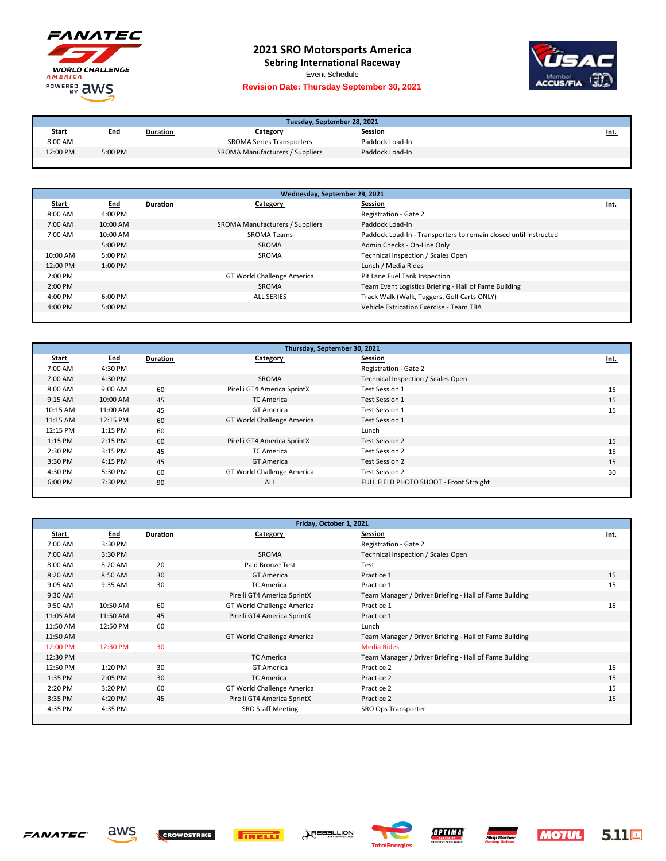

## **2021 SRO Motorsports America**

**Sebring International Raceway**

Event Schedule

## **Revision Date: Thursday September 30, 2021**



| Tuesday, September 28, 2021 |            |          |                                  |                 |             |  |
|-----------------------------|------------|----------|----------------------------------|-----------------|-------------|--|
| <b>Start</b>                | <u>End</u> | Duration | Category                         | <b>Session</b>  | <u>Int.</u> |  |
| 8:00 AM                     |            |          | <b>SROMA Series Transporters</b> | Paddock Load-In |             |  |
| 12:00 PM                    | 5:00 PM    |          | SROMA Manufacturers / Suppliers  | Paddock Load-In |             |  |

| Wednesday, September 29, 2021 |            |                 |                                 |                                                                  |      |  |
|-------------------------------|------------|-----------------|---------------------------------|------------------------------------------------------------------|------|--|
| <u>Start</u>                  | <u>End</u> | <b>Duration</b> | Category                        | Session                                                          | Int. |  |
| $8:00$ AM                     | 4:00 PM    |                 |                                 | Registration - Gate 2                                            |      |  |
| $7:00$ AM                     | $10:00$ AM |                 | SROMA Manufacturers / Suppliers | Paddock Load-In                                                  |      |  |
| 7:00 AM                       | $10:00$ AM |                 | <b>SROMA Teams</b>              | Paddock Load-In - Transporters to remain closed until instructed |      |  |
|                               | $5:00$ PM  |                 | SROMA                           | Admin Checks - On-Line Only                                      |      |  |
| 10:00 AM                      | 5:00 PM    |                 | SROMA                           | Technical Inspection / Scales Open                               |      |  |
| 12:00 PM                      | $1:00$ PM  |                 |                                 | Lunch / Media Rides                                              |      |  |
| $2:00$ PM                     |            |                 | GT World Challenge America      | Pit Lane Fuel Tank Inspection                                    |      |  |
| $2:00$ PM                     |            |                 | SROMA                           | Team Event Logistics Briefing - Hall of Fame Building            |      |  |
| $4:00 \text{ PM}$             | $6:00$ PM  |                 | <b>ALL SERIES</b>               | Track Walk (Walk, Tuggers, Golf Carts ONLY)                      |      |  |
| $4:00 \text{ PM}$             | $5:00$ PM  |                 |                                 | Vehicle Extrication Exercise - Team TBA                          |      |  |
|                               |            |                 |                                 |                                                                  |      |  |

| Thursday, September 30, 2021 |            |          |                             |                                         |      |  |
|------------------------------|------------|----------|-----------------------------|-----------------------------------------|------|--|
| <b>Start</b>                 | <b>End</b> | Duration | Category                    | <b>Session</b>                          | Int. |  |
| 7:00 AM                      | 4:30 PM    |          |                             | Registration - Gate 2                   |      |  |
| 7:00 AM                      | 4:30 PM    |          | SROMA                       | Technical Inspection / Scales Open      |      |  |
| 8:00 AM                      | $9:00$ AM  | 60       | Pirelli GT4 America SprintX | Test Session 1                          | 15   |  |
| $9:15$ AM                    | 10:00 AM   | 45       | <b>TC America</b>           | <b>Test Session 1</b>                   | 15   |  |
| 10:15 AM                     | 11:00 AM   | 45       | <b>GT America</b>           | Test Session 1                          | 15   |  |
| 11:15 AM                     | 12:15 PM   | 60       | GT World Challenge America  | Test Session 1                          |      |  |
| 12:15 PM                     | $1:15$ PM  | 60       |                             | Lunch                                   |      |  |
| 1:15 PM                      | $2:15$ PM  | 60       | Pirelli GT4 America SprintX | Test Session 2                          | 15   |  |
| 2:30 PM                      | 3:15 PM    | 45       | <b>TC America</b>           | Test Session 2                          | 15   |  |
| 3:30 PM                      | 4:15 PM    | 45       | <b>GT America</b>           | Test Session 2                          | 15   |  |
| 4:30 PM                      | 5:30 PM    | 60       | GT World Challenge America  | Test Session 2                          | 30   |  |
| 6:00 PM                      | 7:30 PM    | 90       | ALL                         | FULL FIELD PHOTO SHOOT - Front Straight |      |  |
|                              |            |          |                             |                                         |      |  |

| Friday, October 1, 2021 |            |          |                             |                                                        |      |  |
|-------------------------|------------|----------|-----------------------------|--------------------------------------------------------|------|--|
| Start                   | <u>End</u> | Duration | Category                    | Session                                                | Int. |  |
| 7:00 AM                 | 3:30 PM    |          |                             | Registration - Gate 2                                  |      |  |
| 7:00 AM                 | 3:30 PM    |          | SROMA                       | Technical Inspection / Scales Open                     |      |  |
| 8:00 AM                 | 8:20 AM    | 20       | Paid Bronze Test            | Test                                                   |      |  |
| 8:20 AM                 | 8:50 AM    | 30       | <b>GT America</b>           | Practice 1                                             | 15   |  |
| 9:05 AM                 | 9:35 AM    | 30       | <b>TC America</b>           | Practice 1                                             | 15   |  |
| 9:30 AM                 |            |          | Pirelli GT4 America SprintX | Team Manager / Driver Briefing - Hall of Fame Building |      |  |
| 9:50 AM                 | 10:50 AM   | 60       | GT World Challenge America  | Practice 1                                             | 15   |  |
| 11:05 AM                | 11:50 AM   | 45       | Pirelli GT4 America SprintX | Practice 1                                             |      |  |
| 11:50 AM                | 12:50 PM   | 60       |                             | Lunch                                                  |      |  |
| 11:50 AM                |            |          | GT World Challenge America  | Team Manager / Driver Briefing - Hall of Fame Building |      |  |
| 12:00 PM                | 12:30 PM   | 30       |                             | <b>Media Rides</b>                                     |      |  |
| 12:30 PM                |            |          | <b>TC America</b>           | Team Manager / Driver Briefing - Hall of Fame Building |      |  |
| 12:50 PM                | 1:20 PM    | 30       | <b>GT</b> America           | Practice 2                                             | 15   |  |
| 1:35 PM                 | 2:05 PM    | 30       | <b>TC America</b>           | Practice 2                                             | 15   |  |
| 2:20 PM                 | 3:20 PM    | 60       | GT World Challenge America  | Practice 2                                             | 15   |  |
| 3:35 PM                 | 4:20 PM    | 45       | Pirelli GT4 America SprintX | Practice 2                                             | 15   |  |
| 4:35 PM                 | 4:35 PM    |          | <b>SRO Staff Meeting</b>    | SRO Ops Transporter                                    |      |  |
|                         |            |          |                             |                                                        |      |  |